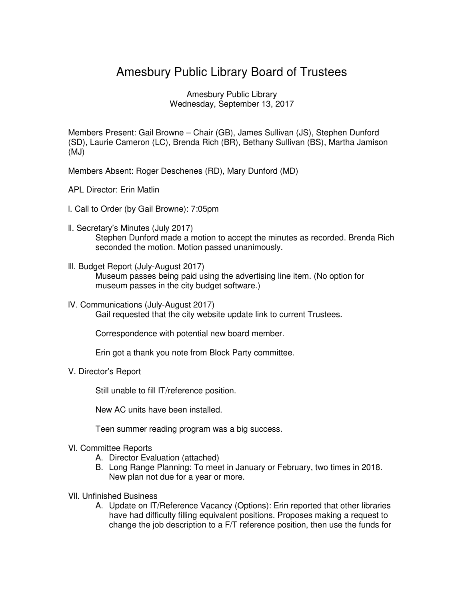## Amesbury Public Library Board of Trustees

Amesbury Public Library Wednesday, September 13, 2017

Members Present: Gail Browne – Chair (GB), James Sullivan (JS), Stephen Dunford (SD), Laurie Cameron (LC), Brenda Rich (BR), Bethany Sullivan (BS), Martha Jamison (MJ)

- Members Absent: Roger Deschenes (RD), Mary Dunford (MD)
- APL Director: Erin Matlin
- l. Call to Order (by Gail Browne): 7:05pm
- ll. Secretary's Minutes (July 2017) Stephen Dunford made a motion to accept the minutes as recorded. Brenda Rich seconded the motion. Motion passed unanimously.
- lll. Budget Report (July-August 2017) Museum passes being paid using the advertising line item. (No option for museum passes in the city budget software.)
- lV. Communications (July-August 2017) Gail requested that the city website update link to current Trustees.

Correspondence with potential new board member.

Erin got a thank you note from Block Party committee.

V. Director's Report

Still unable to fill IT/reference position.

New AC units have been installed.

Teen summer reading program was a big success.

- Vl. Committee Reports
	- A. Director Evaluation (attached)
	- B. Long Range Planning: To meet in January or February, two times in 2018. New plan not due for a year or more.
- Vll. Unfinished Business
	- A. Update on IT/Reference Vacancy (Options): Erin reported that other libraries have had difficulty filling equivalent positions. Proposes making a request to change the job description to a F/T reference position, then use the funds for